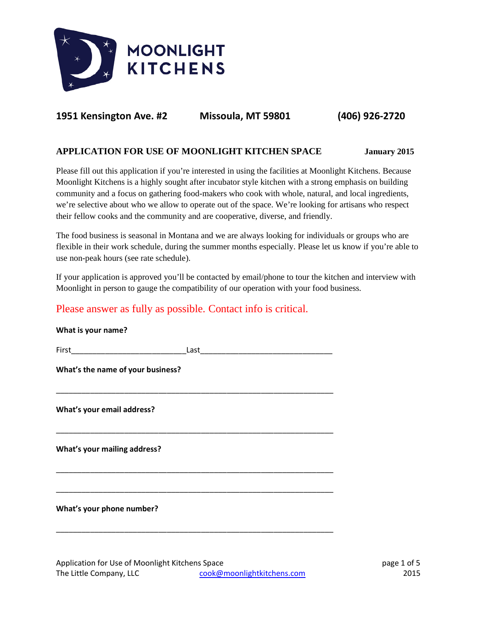

# **1951 Kensington Ave. #2 Missoula, MT 59801 (406) 926-2720**

## **APPLICATION FOR USE OF MOONLIGHT KITCHEN SPACE January 2015**

Please fill out this application if you're interested in using the facilities at Moonlight Kitchens. Because Moonlight Kitchens is a highly sought after incubator style kitchen with a strong emphasis on building community and a focus on gathering food-makers who cook with whole, natural, and local ingredients, we're selective about who we allow to operate out of the space. We're looking for artisans who respect their fellow cooks and the community and are cooperative, diverse, and friendly.

The food business is seasonal in Montana and we are always looking for individuals or groups who are flexible in their work schedule, during the summer months especially. Please let us know if you're able to use non-peak hours (see rate schedule).

If your application is approved you'll be contacted by email/phone to tour the kitchen and interview with Moonlight in person to gauge the compatibility of our operation with your food business.

# Please answer as fully as possible. Contact info is critical.

| What is your name?                |  |  |  |  |
|-----------------------------------|--|--|--|--|
|                                   |  |  |  |  |
| What's the name of your business? |  |  |  |  |
| What's your email address?        |  |  |  |  |
| What's your mailing address?      |  |  |  |  |
| What's your phone number?         |  |  |  |  |
|                                   |  |  |  |  |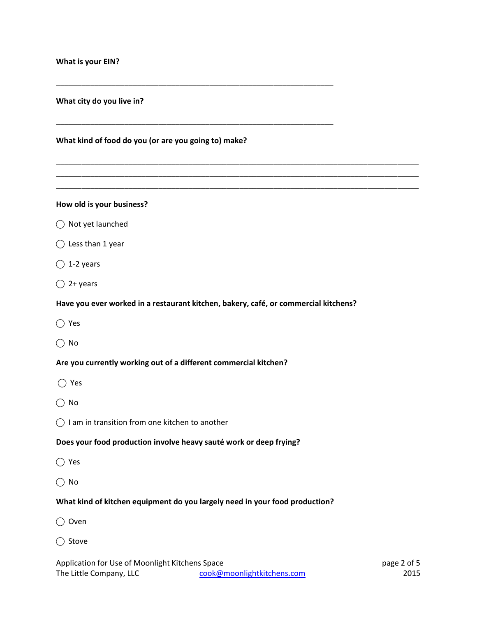**What kind of food do you (or are you going to) make?**

\_\_\_\_\_\_\_\_\_\_\_\_\_\_\_\_\_\_\_\_\_\_\_\_\_\_\_\_\_\_\_\_\_\_\_\_\_\_\_\_\_\_\_\_\_\_\_\_\_\_\_\_\_\_\_\_\_\_\_\_\_\_\_\_\_

\_\_\_\_\_\_\_\_\_\_\_\_\_\_\_\_\_\_\_\_\_\_\_\_\_\_\_\_\_\_\_\_\_\_\_\_\_\_\_\_\_\_\_\_\_\_\_\_\_\_\_\_\_\_\_\_\_\_\_\_\_\_\_\_\_

\_\_\_\_\_\_\_\_\_\_\_\_\_\_\_\_\_\_\_\_\_\_\_\_\_\_\_\_\_\_\_\_\_\_\_\_\_\_\_\_\_\_\_\_\_\_\_\_\_\_\_\_\_\_\_\_\_\_\_\_\_\_\_\_\_\_\_\_\_\_\_\_\_\_\_\_\_\_\_\_\_\_\_\_\_ \_\_\_\_\_\_\_\_\_\_\_\_\_\_\_\_\_\_\_\_\_\_\_\_\_\_\_\_\_\_\_\_\_\_\_\_\_\_\_\_\_\_\_\_\_\_\_\_\_\_\_\_\_\_\_\_\_\_\_\_\_\_\_\_\_\_\_\_\_\_\_\_\_\_\_\_\_\_\_\_\_\_\_\_\_ \_\_\_\_\_\_\_\_\_\_\_\_\_\_\_\_\_\_\_\_\_\_\_\_\_\_\_\_\_\_\_\_\_\_\_\_\_\_\_\_\_\_\_\_\_\_\_\_\_\_\_\_\_\_\_\_\_\_\_\_\_\_\_\_\_\_\_\_\_\_\_\_\_\_\_\_\_\_\_\_\_\_\_\_\_

### **How old is your business?**

- ◯ Not yet launched
- ⃝ Less than 1 year
- $\bigcirc$  1-2 years
- $\bigcap$  2+ years

#### **Have you ever worked in a restaurant kitchen, bakery, café, or commercial kitchens?**

- ⃝ Yes
- $\bigcirc$  No

#### **Are you currently working out of a different commercial kitchen?**

- ⃝ Yes
- $\bigcap$  No
- $\bigcirc$  I am in transition from one kitchen to another

#### **Does your food production involve heavy sauté work or deep frying?**

- ⃝ Yes
- $\bigcap$  No

#### **What kind of kitchen equipment do you largely need in your food production?**

- ⃝ Oven
- ◯ Stove

Application for Use of Moonlight Kitchens Space **page 2 of 5** and 5 and 5 and 5 and 6 and 6 and 6 and 6 and 6 and 6 and 6 and 6 and 6 and 6 and 6 and 6 and 6 and 6 and 6 and 6 and 6 and 6 and 6 and 6 and 6 and 6 and 6 and The Little Company, LLC [cook@moonlightkitchens.com](mailto:cook@moonlightkitchens.com) 2015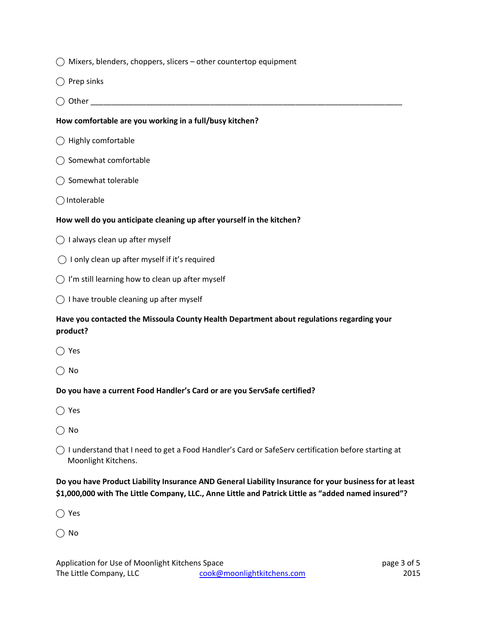|  |  | $\bigcirc$ Mixers, blenders, choppers, slicers – other countertop equipment |  |
|--|--|-----------------------------------------------------------------------------|--|
|  |  |                                                                             |  |

- $\bigcirc$  Prep sinks
- ⃝ Other \_\_\_\_\_\_\_\_\_\_\_\_\_\_\_\_\_\_\_\_\_\_\_\_\_\_\_\_\_\_\_\_\_\_\_\_\_\_\_\_\_\_\_\_\_\_\_\_\_\_\_\_\_\_\_\_\_\_\_\_\_\_\_\_\_\_\_\_\_\_\_\_\_

### **How comfortable are you working in a full/busy kitchen?**

- $\bigcirc$  Highly comfortable
- ⃝ Somewhat comfortable
- $\bigcirc$  Somewhat tolerable
- ◯ Intolerable

### **How well do you anticipate cleaning up after yourself in the kitchen?**

- $\bigcirc$  I always clean up after myself
- $\bigcirc$  I only clean up after myself if it's required
- $\bigcirc$  I'm still learning how to clean up after myself
- $\bigcirc$  I have trouble cleaning up after myself

## **Have you contacted the Missoula County Health Department about regulations regarding your product?**

- ⃝ Yes
- $\bigcap$  No

### **Do you have a current Food Handler's Card or are you ServSafe certified?**

- ⃝ Yes
- $\bigcap$  No
- ⃝ I understand that I need to get a Food Handler's Card or SafeServ certification before starting at Moonlight Kitchens.

## **Do you have Product Liability Insurance AND General Liability Insurance for your business for at least \$1,000,000 with The Little Company, LLC., Anne Little and Patrick Little as "added named insured"?**

⃝ Yes

 $\bigcap$  No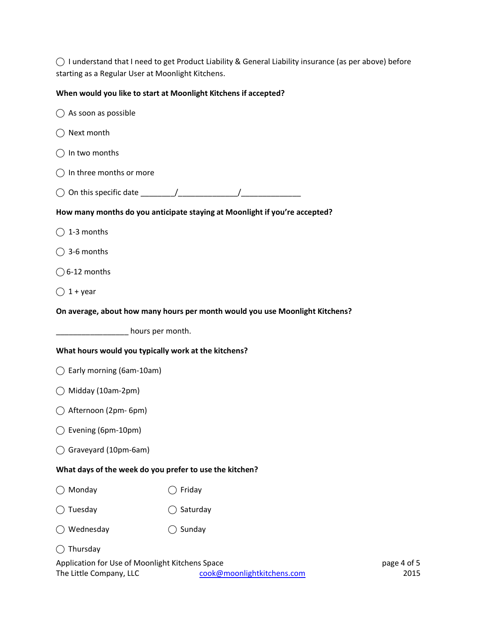$\bigcirc$  I understand that I need to get Product Liability & General Liability insurance (as per above) before starting as a Regular User at Moonlight Kitchens.

# **When would you like to start at Moonlight Kitchens if accepted?**

| As soon as possible                                                        |                                                                              |                     |
|----------------------------------------------------------------------------|------------------------------------------------------------------------------|---------------------|
| Next month                                                                 |                                                                              |                     |
| In two months<br>$($ )                                                     |                                                                              |                     |
| In three months or more                                                    |                                                                              |                     |
| ( )                                                                        |                                                                              |                     |
|                                                                            | How many months do you anticipate staying at Moonlight if you're accepted?   |                     |
| $\bigcirc$ 1-3 months                                                      |                                                                              |                     |
| $\bigcirc$ 3-6 months                                                      |                                                                              |                     |
| $\bigcirc$ 6-12 months                                                     |                                                                              |                     |
| $1 +$ year                                                                 |                                                                              |                     |
|                                                                            | On average, about how many hours per month would you use Moonlight Kitchens? |                     |
| hours per month.                                                           |                                                                              |                     |
| What hours would you typically work at the kitchens?                       |                                                                              |                     |
| $\bigcirc$ Early morning (6am-10am)                                        |                                                                              |                     |
| Midday (10am-2pm)<br>$($ )                                                 |                                                                              |                     |
| Afternoon (2pm- 6pm)                                                       |                                                                              |                     |
| Evening (6pm-10pm)                                                         |                                                                              |                     |
| Graveyard (10pm-6am)                                                       |                                                                              |                     |
| What days of the week do you prefer to use the kitchen?                    |                                                                              |                     |
| Monday                                                                     | Friday                                                                       |                     |
| Tuesday                                                                    | Saturday                                                                     |                     |
| Wednesday                                                                  | Sunday                                                                       |                     |
| Thursday                                                                   |                                                                              |                     |
| Application for Use of Moonlight Kitchens Space<br>The Little Company, LLC | cook@moonlightkitchens.com                                                   | page 4 of 5<br>2015 |